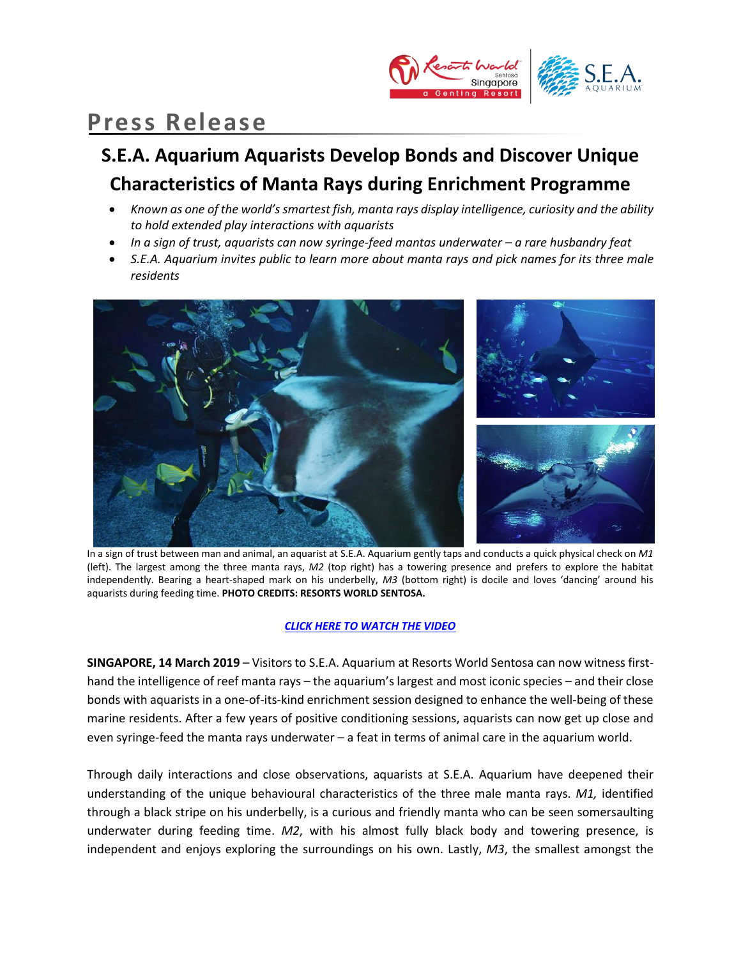

# **Press Release**

## **S.E.A. Aquarium Aquarists Develop Bonds and Discover Unique Characteristics of Manta Rays during Enrichment Programme**

- *Known as one of the world's smartest fish, manta rays display intelligence, curiosity and the ability to hold extended play interactions with aquarists*
- *In a sign of trust, aquarists can now syringe-feed mantas underwater – a rare husbandry feat*
- *S.E.A. Aquarium invites public to learn more about manta rays and pick names for its three male residents*



In a sign of trust between man and animal, an aquarist at S.E.A. Aquarium gently taps and conducts a quick physical check on *M1* (left). The largest among the three manta rays, *M2* (top right) has a towering presence and prefers to explore the habitat independently. Bearing a heart-shaped mark on his underbelly, *M3* (bottom right) is docile and loves 'dancing' around his aquarists during feeding time. **PHOTO CREDITS: RESORTS WORLD SENTOSA.**

### *[CLICK HERE TO WATCH THE VIDEO](https://youtu.be/ODTxNnnIqx0)*

**SINGAPORE, 14 March 2019** – Visitors to S.E.A. Aquarium at Resorts World Sentosa can now witness firsthand the intelligence of reef manta rays – the aquarium's largest and most iconic species – and their close bonds with aquarists in a one-of-its-kind enrichment session designed to enhance the well-being of these marine residents. After a few years of positive conditioning sessions, aquarists can now get up close and even syringe-feed the manta rays underwater – a feat in terms of animal care in the aquarium world.

Through daily interactions and close observations, aquarists at S.E.A. Aquarium have deepened their understanding of the unique behavioural characteristics of the three male manta rays. *M1,* identified through a black stripe on his underbelly, is a curious and friendly manta who can be seen somersaulting underwater during feeding time. *M2*, with his almost fully black body and towering presence, is independent and enjoys exploring the surroundings on his own. Lastly, *M3*, the smallest amongst the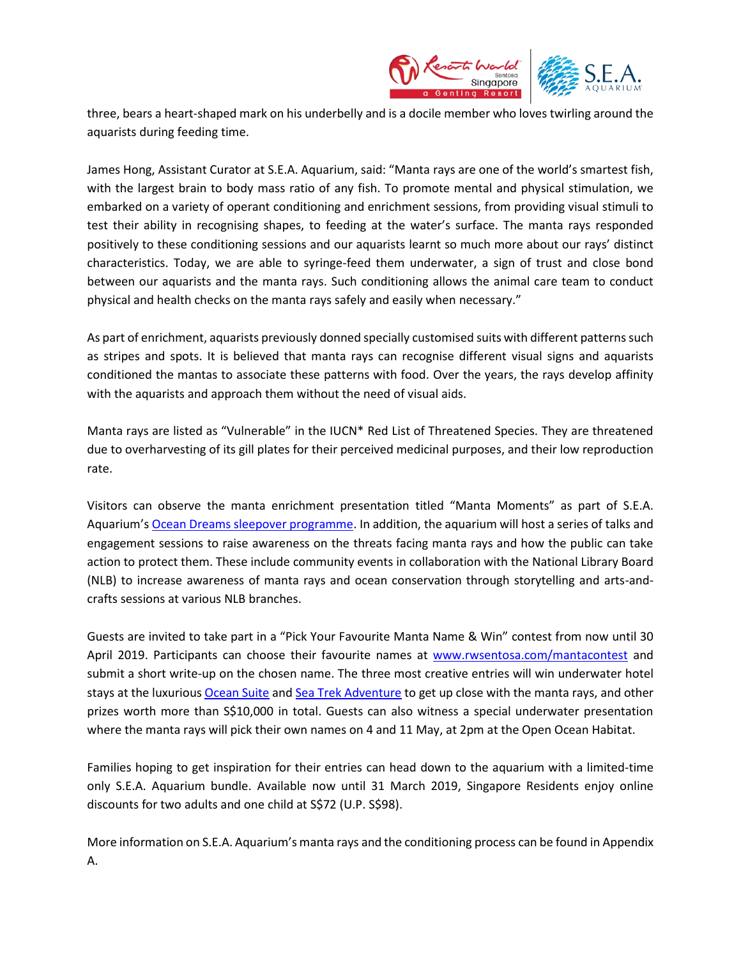

three, bears a heart-shaped mark on his underbelly and is a docile member who loves twirling around the aquarists during feeding time.

James Hong, Assistant Curator at S.E.A. Aquarium, said: "Manta rays are one of the world's smartest fish, with the largest brain to body mass ratio of any fish. To promote mental and physical stimulation, we embarked on a variety of operant conditioning and enrichment sessions, from providing visual stimuli to test their ability in recognising shapes, to feeding at the water's surface. The manta rays responded positively to these conditioning sessions and our aquarists learnt so much more about our rays' distinct characteristics. Today, we are able to syringe-feed them underwater, a sign of trust and close bond between our aquarists and the manta rays. Such conditioning allows the animal care team to conduct physical and health checks on the manta rays safely and easily when necessary."

As part of enrichment, aquarists previously donned specially customised suits with different patterns such as stripes and spots. It is believed that manta rays can recognise different visual signs and aquarists conditioned the mantas to associate these patterns with food. Over the years, the rays develop affinity with the aquarists and approach them without the need of visual aids.

Manta rays are listed as "Vulnerable" in the IUCN\* Red List of Threatened Species. They are threatened due to overharvesting of its gill plates for their perceived medicinal purposes, and their low reproduction rate.

Visitors can observe the manta enrichment presentation titled "Manta Moments" as part of S.E.A. Aquarium's Ocean Dreams [sleepover programme.](https://www.rwsentosa.com/en/attractions/sea-aquarium/things-to-do/special-experiences/sleepovers-ocean-dreams) In addition, the aquarium will host a series of talks and engagement sessions to raise awareness on the threats facing manta rays and how the public can take action to protect them. These include community events in collaboration with the National Library Board (NLB) to increase awareness of manta rays and ocean conservation through storytelling and arts-andcrafts sessions at various NLB branches.

Guests are invited to take part in a "Pick Your Favourite Manta Name & Win" contest from now until 30 April 2019. Participants can choose their favourite names at [www.rwsentosa.com/mantacontest](http://www.rwsentosa.com/mantacontest) and submit a short write-up on the chosen name. The three most creative entries will win underwater hotel stays at the luxurious [Ocean Suite](https://www.rwsentosa.com/en/hotels/ocean-suite/overview) and [Sea Trek Adventure](https://www.rwsentosa.com/en/attractions/sea-aquarium/things-to-do/special-experiences/sea-trek-adventure) to get up close with the manta rays, and other prizes worth more than S\$10,000 in total. Guests can also witness a special underwater presentation where the manta rays will pick their own names on 4 and 11 May, at 2pm at the Open Ocean Habitat.

Families hoping to get inspiration for their entries can head down to the aquarium with a limited-time only S.E.A. Aquarium bundle. Available now until 31 March 2019, Singapore Residents enjoy online discounts for two adults and one child at S\$72 (U.P. S\$98).

More information on S.E.A. Aquarium's manta rays and the conditioning process can be found in Appendix A.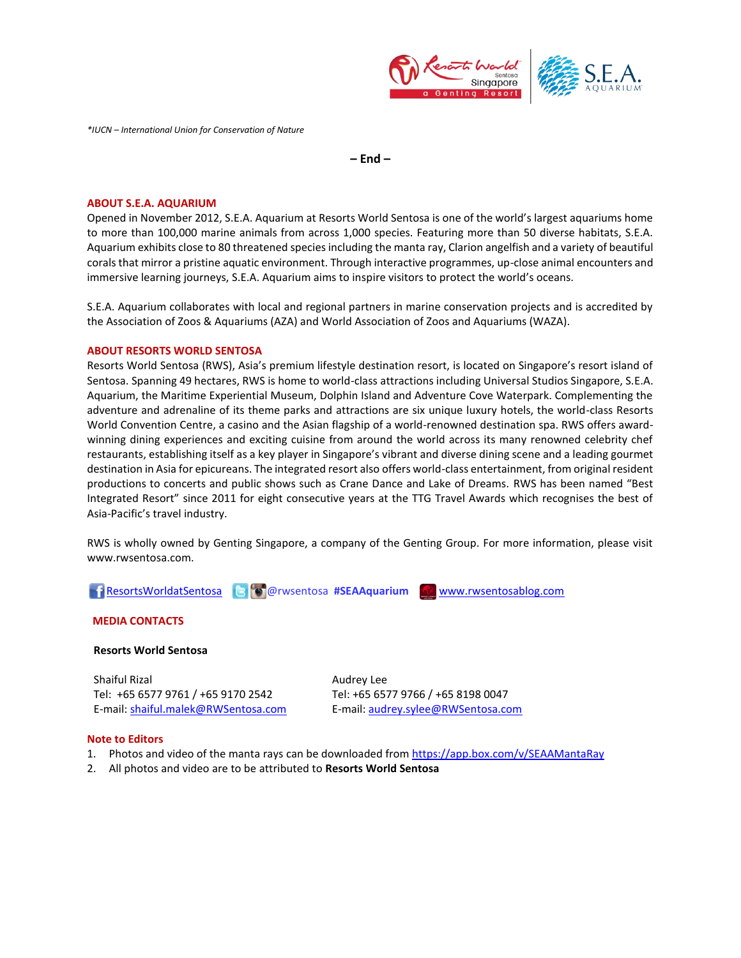

*\*IUCN – International Union for Conservation of Nature* 

**– End –**

#### **ABOUT S.E.A. AQUARIUM**

Opened in November 2012, S.E.A. Aquarium at Resorts World Sentosa is one of the world's largest aquariums home to more than 100,000 marine animals from across 1,000 species. Featuring more than 50 diverse habitats, S.E.A. Aquarium exhibits close to 80 threatened species including the manta ray, Clarion angelfish and a variety of beautiful corals that mirror a pristine aquatic environment. Through interactive programmes, up-close animal encounters and immersive learning journeys, S.E.A. Aquarium aims to inspire visitors to protect the world's oceans.

S.E.A. Aquarium collaborates with local and regional partners in marine conservation projects and is accredited by the Association of Zoos & Aquariums (AZA) and World Association of Zoos and Aquariums (WAZA).

#### **ABOUT RESORTS WORLD SENTOSA**

Resorts World Sentosa (RWS), Asia's premium lifestyle destination resort, is located on Singapore's resort island of Sentosa. Spanning 49 hectares, RWS is home to world-class attractions including Universal Studios Singapore, S.E.A. Aquarium, the Maritime Experiential Museum, Dolphin Island and Adventure Cove Waterpark. Complementing the adventure and adrenaline of its theme parks and attractions are six unique luxury hotels, the world-class Resorts World Convention Centre, a casino and the Asian flagship of a world-renowned destination spa. RWS offers awardwinning dining experiences and exciting cuisine from around the world across its many renowned celebrity chef restaurants, establishing itself as a key player in Singapore's vibrant and diverse dining scene and a leading gourmet destination in Asia for epicureans. The integrated resort also offers world-class entertainment, from original resident productions to concerts and public shows such as Crane Dance and Lake of Dreams. RWS has been named "Best Integrated Resort" since 2011 for eight consecutive years at the TTG Travel Awards which recognises the best of Asia-Pacific's travel industry.

RWS is wholly owned by Genting Singapore, a company of the Genting Group. For more information, please visit [www.rwsentosa.com.](http://www.rwsentosa.com/)



#### **MEDIA CONTACTS**

#### **Resorts World Sentosa**

Shaiful Rizal Tel: +65 6577 9761 / +65 9170 2542 E-mail[: shaiful.malek@RWSentosa.com](mailto:shaiful.malek@RWSentosa.com) Audrey Lee Tel: +65 6577 9766 / +65 8198 0047 E-mail[: audrey.sylee@RWSentosa.com](mailto:audrey.sylee@RWSentosa.com)

#### **Note to Editors**

- 1. Photos and video of the manta rays can be downloaded from <https://app.box.com/v/SEAAMantaRay>
- 2. All photos and video are to be attributed to **Resorts World Sentosa**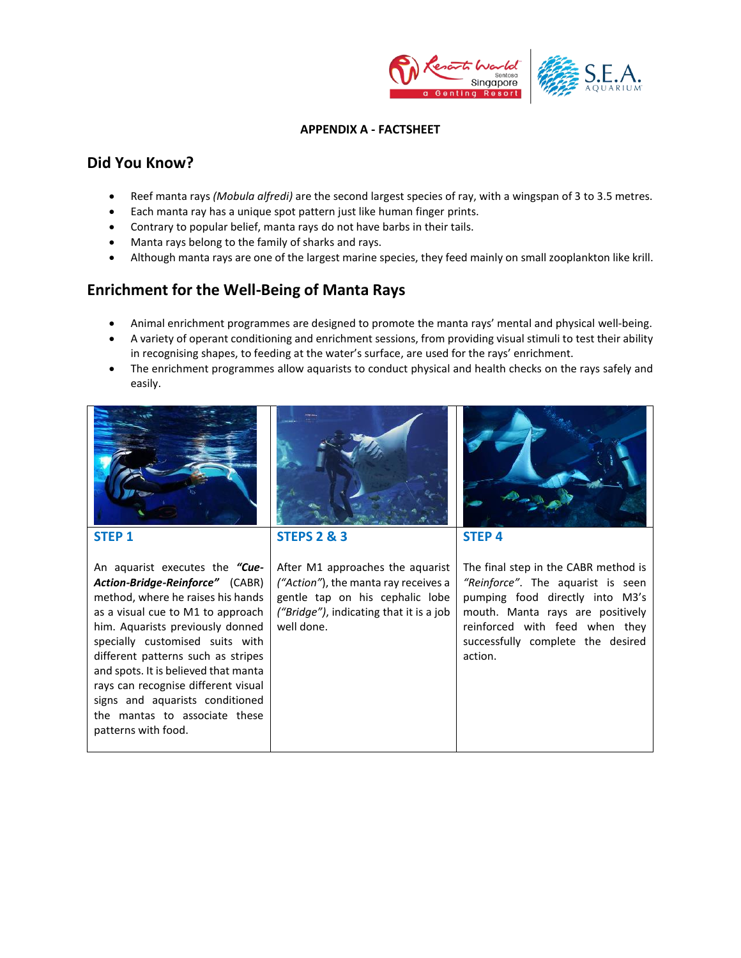

#### **APPENDIX A - FACTSHEET**

## **Did You Know?**

- [Reef](http://www.georgiaaquarium.org/animal-guide/georgia-aquarium/home/galleries/ocean-voyager/gallery-animals/zebra-shark) manta rays *(Mobula alfredi)* are the second largest species of ray, with a wingspan of 3 to 3.5 metres.
- Each manta ray has a unique spot pattern just like human finger prints.
- Contrary to popular belief, manta rays do not have barbs in their tails.
- Manta rays belong to the family of sharks and rays.
- Although manta rays are one of the largest marine species, they feed mainly on small zooplankton like krill.

## **Enrichment for the Well-Being of Manta Rays**

- Animal enrichment programmes are designed to promote the manta rays' mental and physical well-being.
- A variety of operant conditioning and enrichment sessions, from providing visual stimuli to test their ability in recognising shapes, to feeding at the water's surface, are used for the rays' enrichment.
- The enrichment programmes allow aquarists to conduct physical and health checks on the rays safely and easily.

| <b>STEP 1</b><br>An aquarist executes the "Cue-<br><b>Action-Bridge-Reinforce"</b> (CABR)<br>method, where he raises his hands<br>as a visual cue to M1 to approach<br>him. Aquarists previously donned<br>specially customised suits with<br>different patterns such as stripes<br>and spots. It is believed that manta<br>rays can recognise different visual<br>signs and aquarists conditioned<br>the mantas to associate these<br>patterns with food. | <b>STEPS 2 &amp; 3</b><br>After M1 approaches the aquarist<br>("Action"), the manta ray receives a<br>gentle tap on his cephalic lobe<br>("Bridge"), indicating that it is a job<br>well done. | <b>STEP 4</b><br>The final step in the CABR method is<br>"Reinforce". The aquarist is seen<br>pumping food directly into M3's<br>mouth. Manta rays are positively<br>reinforced with feed when they<br>successfully complete the desired<br>action. |
|------------------------------------------------------------------------------------------------------------------------------------------------------------------------------------------------------------------------------------------------------------------------------------------------------------------------------------------------------------------------------------------------------------------------------------------------------------|------------------------------------------------------------------------------------------------------------------------------------------------------------------------------------------------|-----------------------------------------------------------------------------------------------------------------------------------------------------------------------------------------------------------------------------------------------------|